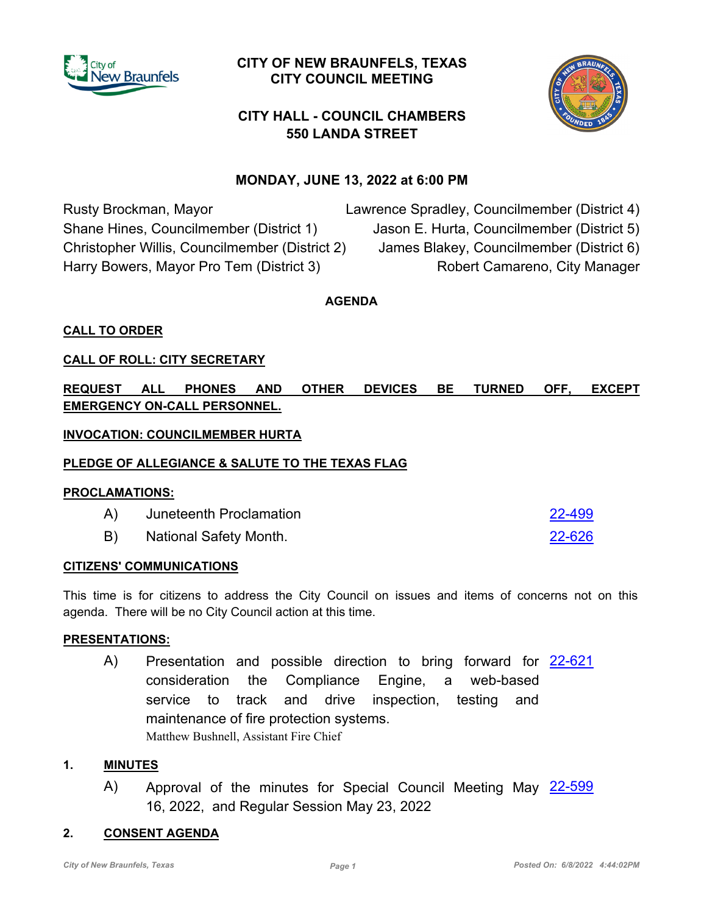

## **CITY OF NEW BRAUNFELS, TEXAS CITY COUNCIL MEETING**



# **CITY HALL - COUNCIL CHAMBERS 550 LANDA STREET**

## **MONDAY, JUNE 13, 2022 at 6:00 PM**

Rusty Brockman, Mayor Shane Hines, Councilmember (District 1) Christopher Willis, Councilmember (District 2) Harry Bowers, Mayor Pro Tem (District 3) Lawrence Spradley, Councilmember (District 4) Jason E. Hurta, Councilmember (District 5) James Blakey, Councilmember (District 6) Robert Camareno, City Manager

**AGENDA**

## **CALL TO ORDER**

## **CALL OF ROLL: CITY SECRETARY**

**REQUEST ALL PHONES AND OTHER DEVICES BE TURNED OFF, EXCEPT EMERGENCY ON-CALL PERSONNEL.**

## **INVOCATION: COUNCILMEMBER HURTA**

#### **PLEDGE OF ALLEGIANCE & SALUTE TO THE TEXAS FLAG**

#### **PROCLAMATIONS:**

| A)         | Juneteenth Proclamation | 22-499 |
|------------|-------------------------|--------|
| <b>B</b> ) | National Safety Month.  | 22-626 |

#### **CITIZENS' COMMUNICATIONS**

This time is for citizens to address the City Council on issues and items of concerns not on this agenda. There will be no City Council action at this time.

#### **PRESENTATIONS:**

A) Presentation and possible direction to bring forward for [22-621](http://newbraunfels.legistar.com/gateway.aspx?m=l&id=/matter.aspx?key=10634) consideration the Compliance Engine, a web-based service to track and drive inspection, testing and maintenance of fire protection systems. Matthew Bushnell, Assistant Fire Chief

#### **1. MINUTES**

A) Approval of the minutes for Special Council Meeting May [22-599](http://newbraunfels.legistar.com/gateway.aspx?m=l&id=/matter.aspx?key=10612) 16, 2022, and Regular Session May 23, 2022

#### **2. CONSENT AGENDA**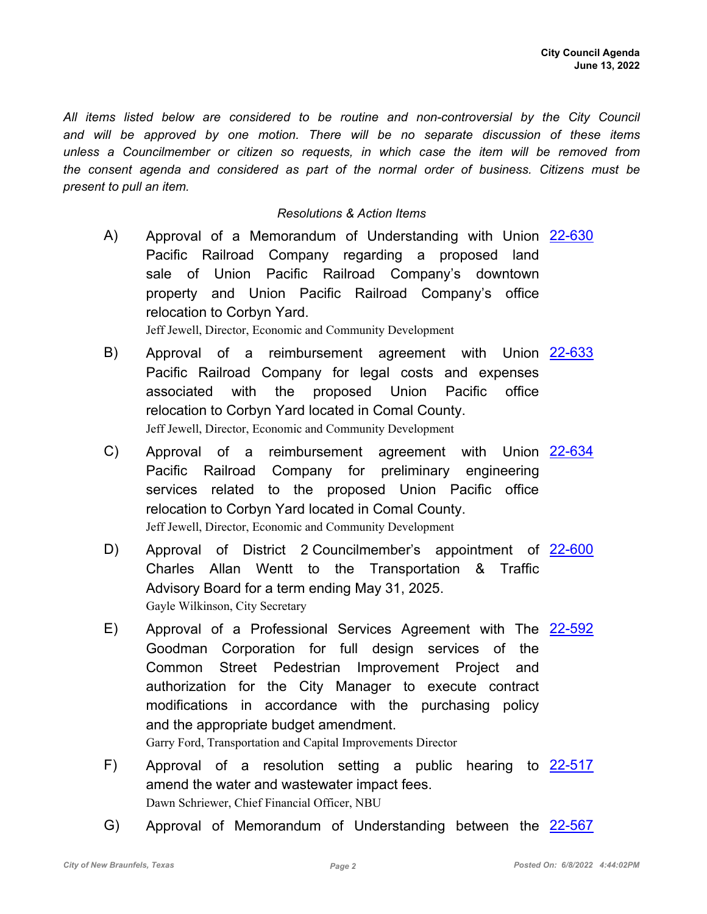*All items listed below are considered to be routine and non-controversial by the City Council and will be approved by one motion. There will be no separate discussion of these items unless a Councilmember or citizen so requests, in which case the item will be removed from the consent agenda and considered as part of the normal order of business. Citizens must be present to pull an item.*

#### *Resolutions & Action Items*

- A) Approval of a Memorandum of Understanding with Union [22-630](http://newbraunfels.legistar.com/gateway.aspx?m=l&id=/matter.aspx?key=10644) Pacific Railroad Company regarding a proposed land sale of Union Pacific Railroad Company's downtown property and Union Pacific Railroad Company's office relocation to Corbyn Yard. Jeff Jewell, Director, Economic and Community Development
- B) Approval of a reimbursement agreement with Union [22-633](http://newbraunfels.legistar.com/gateway.aspx?m=l&id=/matter.aspx?key=10647) Pacific Railroad Company for legal costs and expenses associated with the proposed Union Pacific office relocation to Corbyn Yard located in Comal County. Jeff Jewell, Director, Economic and Community Development
- C) Approval of a reimbursement agreement with Union [22-634](http://newbraunfels.legistar.com/gateway.aspx?m=l&id=/matter.aspx?key=10648) Pacific Railroad Company for preliminary engineering services related to the proposed Union Pacific office relocation to Corbyn Yard located in Comal County. Jeff Jewell, Director, Economic and Community Development
- D) Approval of District 2 Councilmember's appointment of [22-600](http://newbraunfels.legistar.com/gateway.aspx?m=l&id=/matter.aspx?key=10613) Charles Allan Wentt to the Transportation & Traffic Advisory Board for a term ending May 31, 2025. Gayle Wilkinson, City Secretary
- E) Approval of a Professional Services Agreement with The [22-592](http://newbraunfels.legistar.com/gateway.aspx?m=l&id=/matter.aspx?key=10605) Goodman Corporation for full design services of the Common Street Pedestrian Improvement Project and authorization for the City Manager to execute contract modifications in accordance with the purchasing policy and the appropriate budget amendment.

Garry Ford, Transportation and Capital Improvements Director

- F) Approval of a resolution setting a public hearing to  $22-517$ amend the water and wastewater impact fees. Dawn Schriewer, Chief Financial Officer, NBU
- G) Approval of Memorandum of Understanding between the [22-567](http://newbraunfels.legistar.com/gateway.aspx?m=l&id=/matter.aspx?key=10580)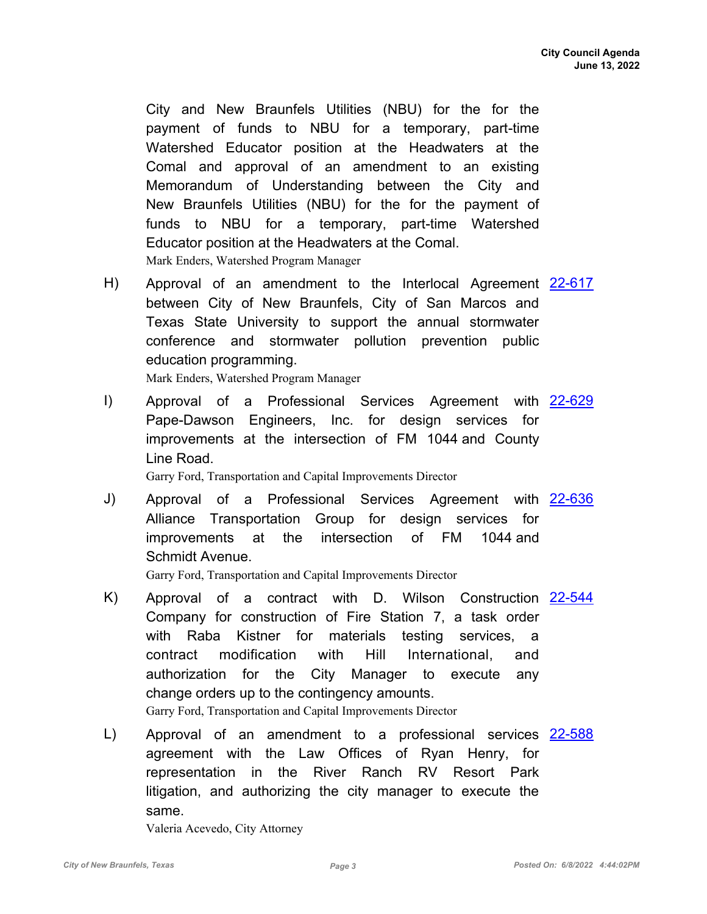City and New Braunfels Utilities (NBU) for the for the payment of funds to NBU for a temporary, part-time Watershed Educator position at the Headwaters at the Comal and approval of an amendment to an existing Memorandum of Understanding between the City and New Braunfels Utilities (NBU) for the for the payment of funds to NBU for a temporary, part-time Watershed Educator position at the Headwaters at the Comal. Mark Enders, Watershed Program Manager

H) Approval of an amendment to the Interlocal Agreement [22-617](http://newbraunfels.legistar.com/gateway.aspx?m=l&id=/matter.aspx?key=10630) between City of New Braunfels, City of San Marcos and Texas State University to support the annual stormwater conference and stormwater pollution prevention public education programming.

Mark Enders, Watershed Program Manager

I) Approval of a Professional Services Agreement with [22-629](http://newbraunfels.legistar.com/gateway.aspx?m=l&id=/matter.aspx?key=10643) Pape-Dawson Engineers, Inc. for design services for improvements at the intersection of FM 1044 and County Line Road.

Garry Ford, Transportation and Capital Improvements Director

J) Approval of a Professional Services Agreement with [22-636](http://newbraunfels.legistar.com/gateway.aspx?m=l&id=/matter.aspx?key=10650) Alliance Transportation Group for design services for improvements at the intersection of FM 1044 and Schmidt Avenue.

Garry Ford, Transportation and Capital Improvements Director

- K) Approval of a contract with D. Wilson Construction <u>[22-544](http://newbraunfels.legistar.com/gateway.aspx?m=l&id=/matter.aspx?key=10557)</u> Company for construction of Fire Station 7, a task order with Raba Kistner for materials testing services, a contract modification with Hill International, and authorization for the City Manager to execute any change orders up to the contingency amounts. Garry Ford, Transportation and Capital Improvements Director
- L) Approval of an amendment to a professional services [22-588](http://newbraunfels.legistar.com/gateway.aspx?m=l&id=/matter.aspx?key=10601) agreement with the Law Offices of Ryan Henry, for representation in the River Ranch RV Resort Park litigation, and authorizing the city manager to execute the same.

Valeria Acevedo, City Attorney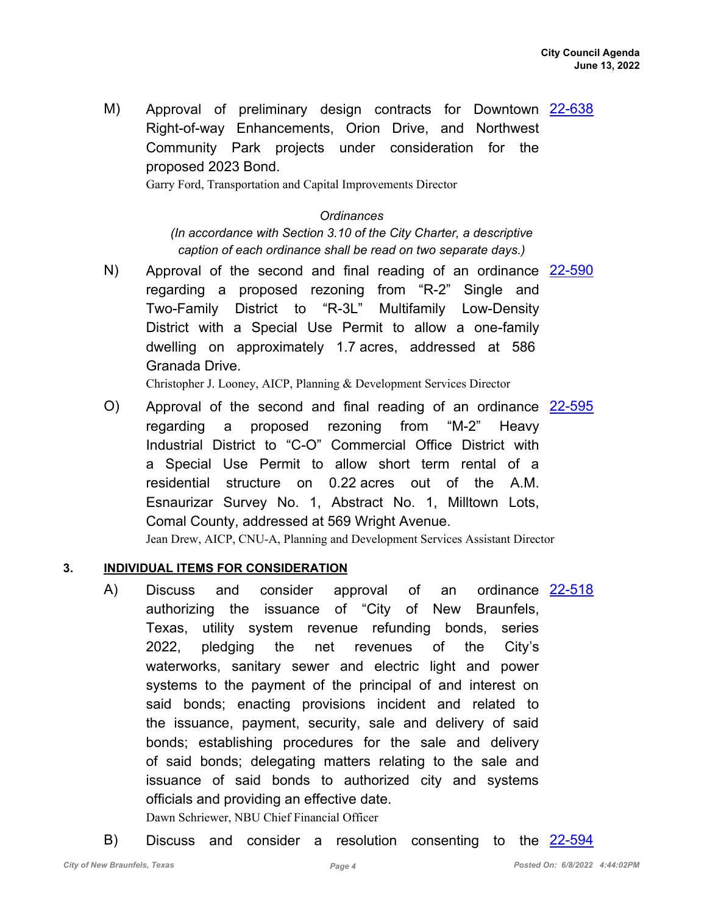M) Approval of preliminary design contracts for Downtown [22-638](http://newbraunfels.legistar.com/gateway.aspx?m=l&id=/matter.aspx?key=10652) Right-of-way Enhancements, Orion Drive, and Northwest Community Park projects under consideration for the proposed 2023 Bond.

Garry Ford, Transportation and Capital Improvements Director

#### *Ordinances*

*(In accordance with Section 3.10 of the City Charter, a descriptive caption of each ordinance shall be read on two separate days.)*

N) Approval of the second and final reading of an ordinance [22-590](http://newbraunfels.legistar.com/gateway.aspx?m=l&id=/matter.aspx?key=10603) regarding a proposed rezoning from "R-2" Single and Two-Family District to "R-3L" Multifamily Low-Density District with a Special Use Permit to allow a one-family dwelling on approximately 1.7 acres, addressed at 586 Granada Drive.

Christopher J. Looney, AICP, Planning & Development Services Director

O) Approval of the second and final reading of an ordinance [22-595](http://newbraunfels.legistar.com/gateway.aspx?m=l&id=/matter.aspx?key=10608) regarding a proposed rezoning from "M-2" Heavy Industrial District to "C-O" Commercial Office District with a Special Use Permit to allow short term rental of a residential structure on 0.22 acres out of the A.M. Esnaurizar Survey No. 1, Abstract No. 1, Milltown Lots, Comal County, addressed at 569 Wright Avenue. Jean Drew, AICP, CNU-A, Planning and Development Services Assistant Director

#### **3. INDIVIDUAL ITEMS FOR CONSIDERATION**

- Discuss and consider approval of an authorizing the issuance of "City of New Braunfels, Texas, utility system revenue refunding bonds, series 2022, pledging the net revenues of the City's waterworks, sanitary sewer and electric light and power systems to the payment of the principal of and interest on said bonds; enacting provisions incident and related to the issuance, payment, security, sale and delivery of said bonds; establishing procedures for the sale and delivery of said bonds; delegating matters relating to the sale and issuance of said bonds to authorized city and systems officials and providing an effective date. A) Discuss and consider approval of an ordinance [22-518](http://newbraunfels.legistar.com/gateway.aspx?m=l&id=/matter.aspx?key=10531) Dawn Schriewer, NBU Chief Financial Officer
- B) Discuss and consider a resolution consenting to the [22-594](http://newbraunfels.legistar.com/gateway.aspx?m=l&id=/matter.aspx?key=10607)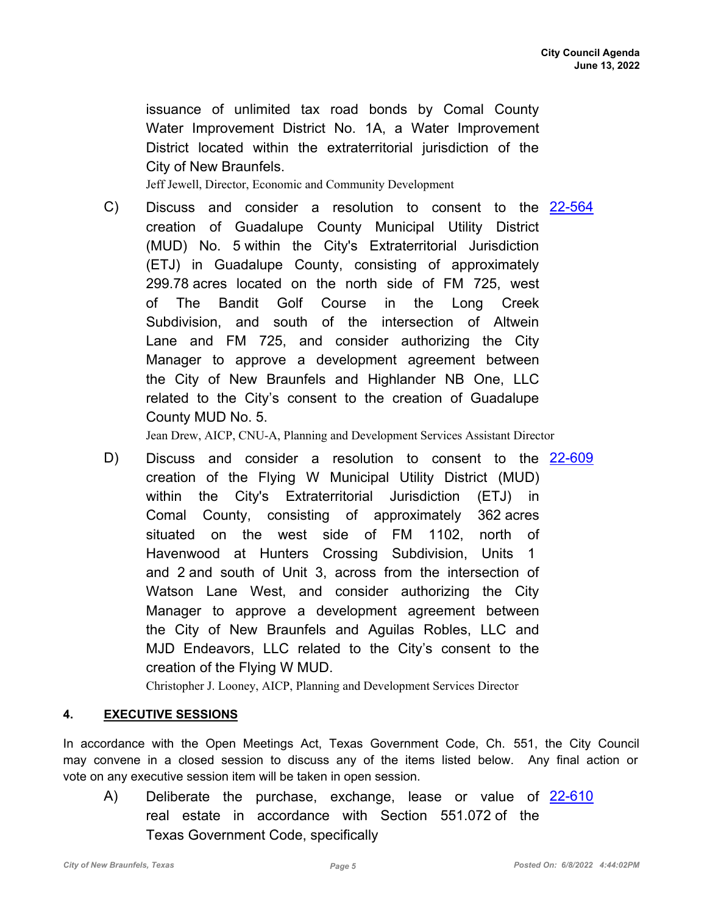issuance of unlimited tax road bonds by Comal County Water Improvement District No. 1A, a Water Improvement District located within the extraterritorial jurisdiction of the City of New Braunfels.

Jeff Jewell, Director, Economic and Community Development

C) Discuss and consider a resolution to consent to the [22-564](http://newbraunfels.legistar.com/gateway.aspx?m=l&id=/matter.aspx?key=10577) creation of Guadalupe County Municipal Utility District (MUD) No. 5 within the City's Extraterritorial Jurisdiction (ETJ) in Guadalupe County, consisting of approximately 299.78 acres located on the north side of FM 725, west of The Bandit Golf Course in the Long Creek Subdivision, and south of the intersection of Altwein Lane and FM 725, and consider authorizing the City Manager to approve a development agreement between the City of New Braunfels and Highlander NB One, LLC related to the City's consent to the creation of Guadalupe County MUD No. 5.

Jean Drew, AICP, CNU-A, Planning and Development Services Assistant Director

D) Discuss and consider a resolution to consent to the [22-609](http://newbraunfels.legistar.com/gateway.aspx?m=l&id=/matter.aspx?key=10622) creation of the Flying W Municipal Utility District (MUD) within the City's Extraterritorial Jurisdiction (ETJ) in Comal County, consisting of approximately 362 acres situated on the west side of FM 1102, north of Havenwood at Hunters Crossing Subdivision, Units 1 and 2 and south of Unit 3, across from the intersection of Watson Lane West, and consider authorizing the City Manager to approve a development agreement between the City of New Braunfels and Aguilas Robles, LLC and MJD Endeavors, LLC related to the City's consent to the creation of the Flying W MUD.

Christopher J. Looney, AICP, Planning and Development Services Director

#### **4. EXECUTIVE SESSIONS**

In accordance with the Open Meetings Act, Texas Government Code, Ch. 551, the City Council may convene in a closed session to discuss any of the items listed below. Any final action or vote on any executive session item will be taken in open session.

A) Deliberate the purchase, exchange, lease or value of [22-610](http://newbraunfels.legistar.com/gateway.aspx?m=l&id=/matter.aspx?key=10623) real estate in accordance with Section 551.072 of the Texas Government Code, specifically